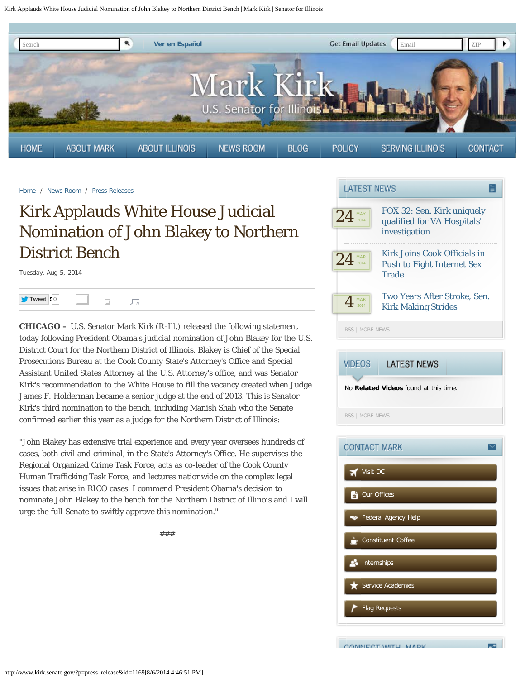Kirk Applauds White House Judicial Nomination of John Blakey to Northern District Bench | Mark Kirk | Senator for Illinois

<span id="page-0-0"></span>

[Home](http://www.kirk.senate.gov/?p=home) / [News Room](http://www.kirk.senate.gov/?p=newsroom) / [Press Releases](http://www.kirk.senate.gov/?p=press_releases)

## Kirk Applauds White House Judicial Nomination of John Blakey to Northern District Bench

Tuesday, Aug 5, 2014



**CHICAGO –** U.S. Senator Mark Kirk (R-Ill.) released the following statement today following President Obama's judicial nomination of John Blakey for the U.S. District Court for the Northern District of Illinois. Blakey is Chief of the Special Prosecutions Bureau at the Cook County State's Attorney's Office and Special Assistant United States Attorney at the U.S. Attorney's office, and was Senator Kirk's recommendation to the White House to fill the vacancy created when Judge James F. Holderman became a senior judge at the end of 2013. This is Senator Kirk's third nomination to the bench, including Manish Shah who the Senate confirmed earlier this year as a judge for the Northern District of Illinois:

"John Blakey has extensive trial experience and every year oversees hundreds of cases, both civil and criminal, in the State's Attorney's Office. He supervises the Regional Organized Crime Task Force, acts as co-leader of the Cook County Human Trafficking Task Force, and lectures nationwide on the complex legal issues that arise in RICO cases. I commend President Obama's decision to nominate John Blakey to the bench for the Northern District of Illinois and I will urge the full Senate to swiftly approve this nomination."

###







ma.

CONNECT WITH MADE